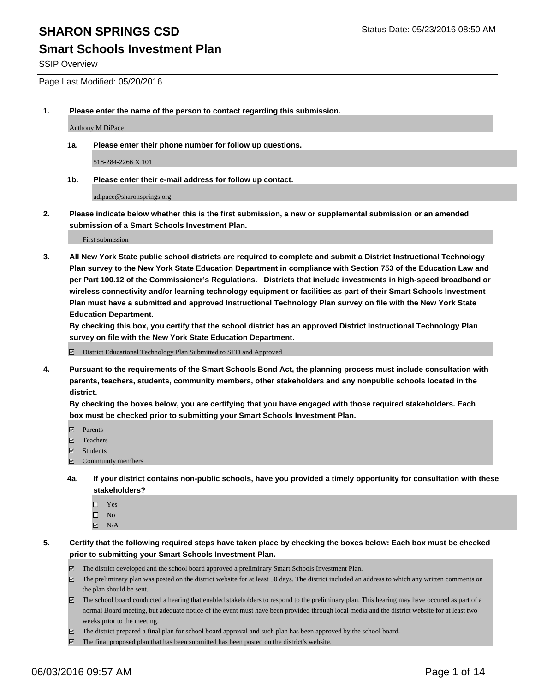#### **Smart Schools Investment Plan**

SSIP Overview

Page Last Modified: 05/20/2016

**1. Please enter the name of the person to contact regarding this submission.**

Anthony M DiPace

**1a. Please enter their phone number for follow up questions.**

518-284-2266 X 101

**1b. Please enter their e-mail address for follow up contact.**

adipace@sharonsprings.org

**2. Please indicate below whether this is the first submission, a new or supplemental submission or an amended submission of a Smart Schools Investment Plan.**

First submission

**3. All New York State public school districts are required to complete and submit a District Instructional Technology Plan survey to the New York State Education Department in compliance with Section 753 of the Education Law and per Part 100.12 of the Commissioner's Regulations. Districts that include investments in high-speed broadband or wireless connectivity and/or learning technology equipment or facilities as part of their Smart Schools Investment Plan must have a submitted and approved Instructional Technology Plan survey on file with the New York State Education Department.** 

**By checking this box, you certify that the school district has an approved District Instructional Technology Plan survey on file with the New York State Education Department.**

District Educational Technology Plan Submitted to SED and Approved

**4. Pursuant to the requirements of the Smart Schools Bond Act, the planning process must include consultation with parents, teachers, students, community members, other stakeholders and any nonpublic schools located in the district.** 

**By checking the boxes below, you are certifying that you have engaged with those required stakeholders. Each box must be checked prior to submitting your Smart Schools Investment Plan.**

- **Parents**
- Teachers
- $\blacksquare$  Students
- Community members
- **4a. If your district contains non-public schools, have you provided a timely opportunity for consultation with these stakeholders?**
	- $\Box$  Yes  $\square$  No
	- $\boxtimes$  N/A
- **5. Certify that the following required steps have taken place by checking the boxes below: Each box must be checked prior to submitting your Smart Schools Investment Plan.**
	- The district developed and the school board approved a preliminary Smart Schools Investment Plan.
	- $\Box$  The preliminary plan was posted on the district website for at least 30 days. The district included an address to which any written comments on the plan should be sent.
	- $\Box$  The school board conducted a hearing that enabled stakeholders to respond to the preliminary plan. This hearing may have occured as part of a normal Board meeting, but adequate notice of the event must have been provided through local media and the district website for at least two weeks prior to the meeting.
	- The district prepared a final plan for school board approval and such plan has been approved by the school board.
	- $\boxdot$  The final proposed plan that has been submitted has been posted on the district's website.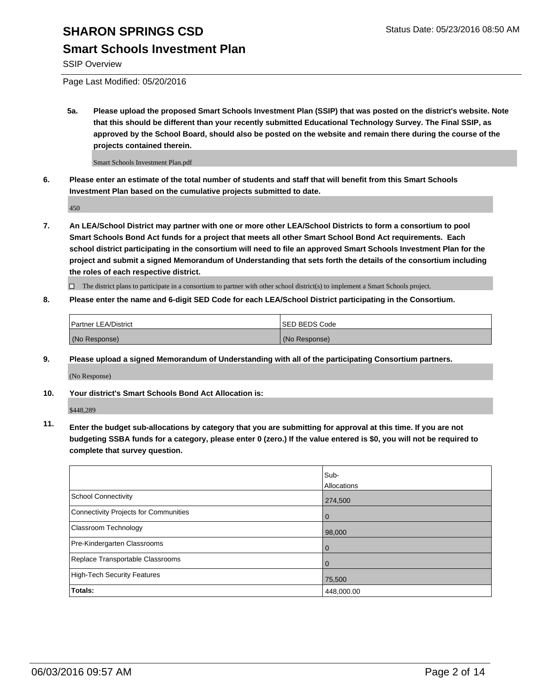### **Smart Schools Investment Plan**

SSIP Overview

Page Last Modified: 05/20/2016

**5a. Please upload the proposed Smart Schools Investment Plan (SSIP) that was posted on the district's website. Note that this should be different than your recently submitted Educational Technology Survey. The Final SSIP, as approved by the School Board, should also be posted on the website and remain there during the course of the projects contained therein.**

Smart Schools Investment Plan.pdf

**6. Please enter an estimate of the total number of students and staff that will benefit from this Smart Schools Investment Plan based on the cumulative projects submitted to date.**

450

**7. An LEA/School District may partner with one or more other LEA/School Districts to form a consortium to pool Smart Schools Bond Act funds for a project that meets all other Smart School Bond Act requirements. Each school district participating in the consortium will need to file an approved Smart Schools Investment Plan for the project and submit a signed Memorandum of Understanding that sets forth the details of the consortium including the roles of each respective district.**

 $\Box$  The district plans to participate in a consortium to partner with other school district(s) to implement a Smart Schools project.

**8. Please enter the name and 6-digit SED Code for each LEA/School District participating in the Consortium.**

| <b>Partner LEA/District</b> | ISED BEDS Code |
|-----------------------------|----------------|
| (No Response)               | (No Response)  |

**9. Please upload a signed Memorandum of Understanding with all of the participating Consortium partners.**

(No Response)

**10. Your district's Smart Schools Bond Act Allocation is:**

\$448,289

**11. Enter the budget sub-allocations by category that you are submitting for approval at this time. If you are not budgeting SSBA funds for a category, please enter 0 (zero.) If the value entered is \$0, you will not be required to complete that survey question.**

|                                       | Sub-        |
|---------------------------------------|-------------|
|                                       | Allocations |
| <b>School Connectivity</b>            | 274,500     |
| Connectivity Projects for Communities | $\Omega$    |
| <b>Classroom Technology</b>           | 98,000      |
| Pre-Kindergarten Classrooms           | $\Omega$    |
| Replace Transportable Classrooms      | $\Omega$    |
| High-Tech Security Features           | 75,500      |
| Totals:                               | 448,000.00  |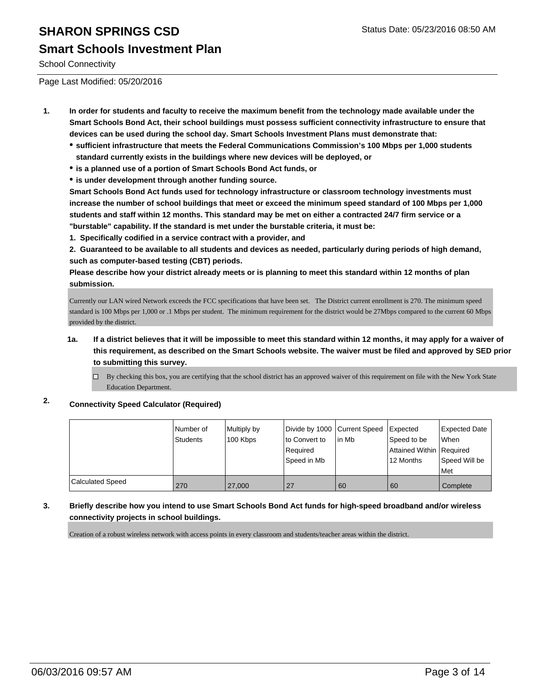### **Smart Schools Investment Plan**

School Connectivity

Page Last Modified: 05/20/2016

- **1. In order for students and faculty to receive the maximum benefit from the technology made available under the Smart Schools Bond Act, their school buildings must possess sufficient connectivity infrastructure to ensure that devices can be used during the school day. Smart Schools Investment Plans must demonstrate that:**
	- **sufficient infrastructure that meets the Federal Communications Commission's 100 Mbps per 1,000 students standard currently exists in the buildings where new devices will be deployed, or**
	- **is a planned use of a portion of Smart Schools Bond Act funds, or**
	- **is under development through another funding source.**

**Smart Schools Bond Act funds used for technology infrastructure or classroom technology investments must increase the number of school buildings that meet or exceed the minimum speed standard of 100 Mbps per 1,000 students and staff within 12 months. This standard may be met on either a contracted 24/7 firm service or a "burstable" capability. If the standard is met under the burstable criteria, it must be:**

**1. Specifically codified in a service contract with a provider, and**

**2. Guaranteed to be available to all students and devices as needed, particularly during periods of high demand, such as computer-based testing (CBT) periods.**

**Please describe how your district already meets or is planning to meet this standard within 12 months of plan submission.**

Currently our LAN wired Network exceeds the FCC specifications that have been set. The District current enrollment is 270. The minimum speed standard is 100 Mbps per 1,000 or .1 Mbps per student. The minimum requirement for the district would be 27Mbps compared to the current 60 Mbps provided by the district.

- **1a. If a district believes that it will be impossible to meet this standard within 12 months, it may apply for a waiver of this requirement, as described on the Smart Schools website. The waiver must be filed and approved by SED prior to submitting this survey.**
	- $\Box$  By checking this box, you are certifying that the school district has an approved waiver of this requirement on file with the New York State Education Department.

### **2. Connectivity Speed Calculator (Required)**

|                  | Number of<br><b>Students</b> | Multiply by<br>100 Kbps | Divide by 1000 Current Speed<br>to Convert to<br>Required<br>Speed in Mb | lin Mb | Expected<br>Speed to be<br>Attained Within Required<br>12 Months | <b>Expected Date</b><br><b>When</b><br>Speed Will be<br><b>Met</b> |
|------------------|------------------------------|-------------------------|--------------------------------------------------------------------------|--------|------------------------------------------------------------------|--------------------------------------------------------------------|
| Calculated Speed | 270                          | 27,000                  | 27                                                                       | 60     | 60                                                               | Complete                                                           |

#### **3. Briefly describe how you intend to use Smart Schools Bond Act funds for high-speed broadband and/or wireless connectivity projects in school buildings.**

Creation of a robust wireless network with access points in every classroom and students/teacher areas within the district.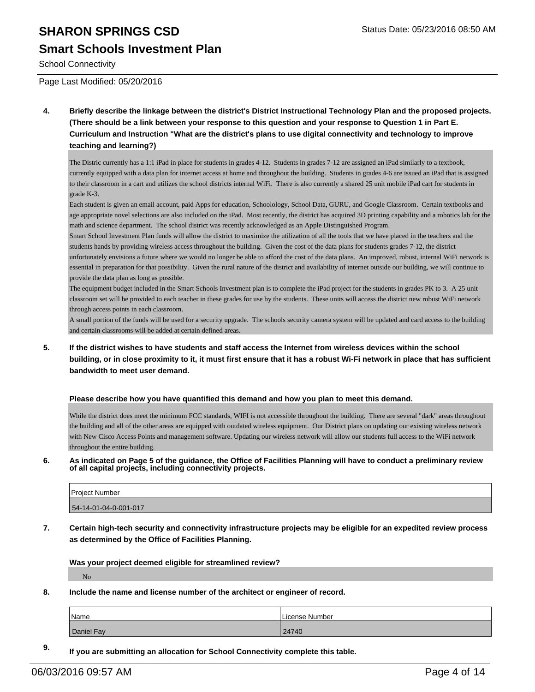#### **Smart Schools Investment Plan**

School Connectivity

Page Last Modified: 05/20/2016

**4. Briefly describe the linkage between the district's District Instructional Technology Plan and the proposed projects. (There should be a link between your response to this question and your response to Question 1 in Part E. Curriculum and Instruction "What are the district's plans to use digital connectivity and technology to improve teaching and learning?)**

The Distric currently has a 1:1 iPad in place for students in grades 4-12. Students in grades 7-12 are assigned an iPad similarly to a textbook, currently equipped with a data plan for internet access at home and throughout the building. Students in grades 4-6 are issued an iPad that is assigned to their classroom in a cart and utilizes the school districts internal WiFi. There is also currently a shared 25 unit mobile iPad cart for students in grade K-3.

Each student is given an email account, paid Apps for education, Schoolology, School Data, GURU, and Google Classroom. Certain textbooks and age appropriate novel selections are also included on the iPad. Most recently, the district has acquired 3D printing capability and a robotics lab for the math and science department. The school district was recently acknowledged as an Apple Distinguished Program.

Smart School Investment Plan funds will allow the district to maximize the utilization of all the tools that we have placed in the teachers and the students hands by providing wireless access throughout the building. Given the cost of the data plans for students grades 7-12, the district unfortunately envisions a future where we would no longer be able to afford the cost of the data plans. An improved, robust, internal WiFi network is essential in preparation for that possibility. Given the rural nature of the district and availability of internet outside our building, we will continue to provide the data plan as long as possible.

The equipment budget included in the Smart Schools Investment plan is to complete the iPad project for the students in grades PK to 3. A 25 unit classroom set will be provided to each teacher in these grades for use by the students. These units will access the district new robust WiFi network through access points in each classroom.

A small portion of the funds will be used for a security upgrade. The schools security camera system will be updated and card access to the building and certain classrooms will be added at certain defined areas.

**5. If the district wishes to have students and staff access the Internet from wireless devices within the school building, or in close proximity to it, it must first ensure that it has a robust Wi-Fi network in place that has sufficient bandwidth to meet user demand.**

#### **Please describe how you have quantified this demand and how you plan to meet this demand.**

While the district does meet the minimum FCC standards, WIFI is not accessible throughout the building. There are several "dark" areas throughout the building and all of the other areas are equipped with outdated wireless equipment. Our District plans on updating our existing wireless network with New Cisco Access Points and management software. Updating our wireless network will allow our students full access to the WiFi network throughout the entire building.

**6. As indicated on Page 5 of the guidance, the Office of Facilities Planning will have to conduct a preliminary review of all capital projects, including connectivity projects.**

| <b>Project Number</b> |
|-----------------------|
| 54-14-01-04-0-001-017 |
|                       |

**7. Certain high-tech security and connectivity infrastructure projects may be eligible for an expedited review process as determined by the Office of Facilities Planning.**

**Was your project deemed eligible for streamlined review?**

No

**8. Include the name and license number of the architect or engineer of record.**

| Name       | License Number |
|------------|----------------|
| Daniel Fay | 24740          |

**9. If you are submitting an allocation for School Connectivity complete this table.**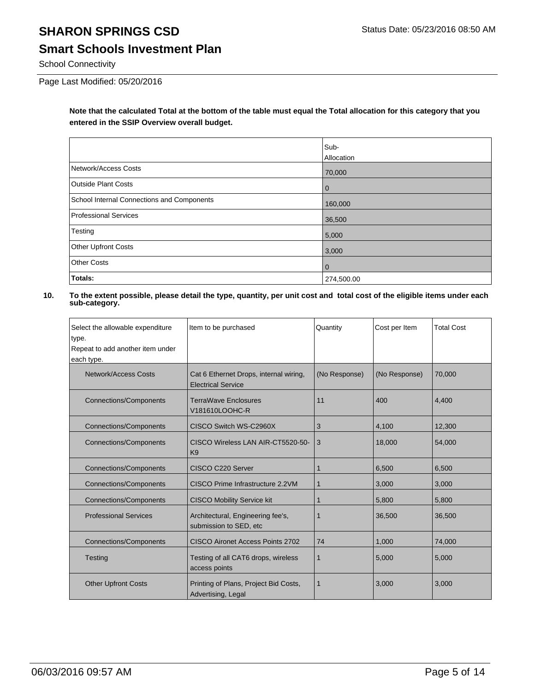## **Smart Schools Investment Plan**

School Connectivity

Page Last Modified: 05/20/2016

**Note that the calculated Total at the bottom of the table must equal the Total allocation for this category that you entered in the SSIP Overview overall budget.** 

|                                            | Sub-        |
|--------------------------------------------|-------------|
|                                            | Allocation  |
| Network/Access Costs                       | 70,000      |
| <b>Outside Plant Costs</b>                 | $\mathbf 0$ |
| School Internal Connections and Components | 160,000     |
| Professional Services                      | 36,500      |
| Testing                                    | 5,000       |
| Other Upfront Costs                        | 3,000       |
| <b>Other Costs</b>                         | $\mathbf 0$ |
| Totals:                                    | 274,500.00  |

| Select the allowable expenditure<br>type.<br>Repeat to add another item under<br>each type. | Item to be purchased                                                | Quantity      | Cost per Item | <b>Total Cost</b> |
|---------------------------------------------------------------------------------------------|---------------------------------------------------------------------|---------------|---------------|-------------------|
| Network/Access Costs                                                                        | Cat 6 Ethernet Drops, internal wiring,<br><b>Electrical Service</b> | (No Response) | (No Response) | 70,000            |
| <b>Connections/Components</b>                                                               | <b>TerraWave Enclosures</b><br>V181610LOOHC-R                       | 11            | 400           | 4.400             |
| <b>Connections/Components</b>                                                               | CISCO Switch WS-C2960X                                              | 3             | 4,100         | 12,300            |
| <b>Connections/Components</b>                                                               | CISCO Wireless LAN AIR-CT5520-50-<br>K <sub>9</sub>                 | 3             | 18,000        | 54,000            |
| <b>Connections/Components</b>                                                               | CISCO C220 Server                                                   | 1             | 6,500         | 6,500             |
| <b>Connections/Components</b>                                                               | CISCO Prime Infrastructure 2.2VM                                    | 1             | 3,000         | 3,000             |
| <b>Connections/Components</b>                                                               | <b>CISCO Mobility Service kit</b>                                   | 1             | 5,800         | 5,800             |
| <b>Professional Services</b>                                                                | Architectural, Engineering fee's,<br>submission to SED, etc.        | 1             | 36,500        | 36,500            |
| <b>Connections/Components</b>                                                               | CISCO Aironet Access Points 2702                                    | 74            | 1,000         | 74,000            |
| <b>Testing</b>                                                                              | Testing of all CAT6 drops, wireless<br>access points                | 1             | 5,000         | 5,000             |
| <b>Other Upfront Costs</b>                                                                  | Printing of Plans, Project Bid Costs,<br>Advertising, Legal         | 1             | 3,000         | 3,000             |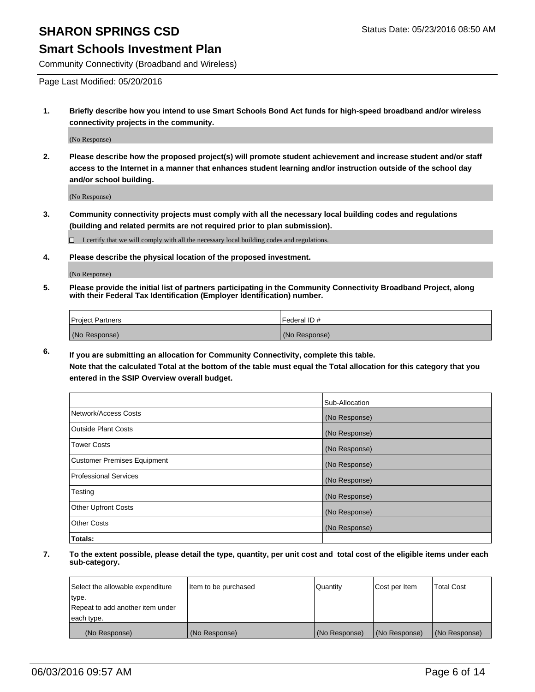#### **Smart Schools Investment Plan**

Community Connectivity (Broadband and Wireless)

Page Last Modified: 05/20/2016

**1. Briefly describe how you intend to use Smart Schools Bond Act funds for high-speed broadband and/or wireless connectivity projects in the community.**

(No Response)

**2. Please describe how the proposed project(s) will promote student achievement and increase student and/or staff access to the Internet in a manner that enhances student learning and/or instruction outside of the school day and/or school building.**

(No Response)

**3. Community connectivity projects must comply with all the necessary local building codes and regulations (building and related permits are not required prior to plan submission).**

 $\Box$  I certify that we will comply with all the necessary local building codes and regulations.

**4. Please describe the physical location of the proposed investment.**

(No Response)

**5. Please provide the initial list of partners participating in the Community Connectivity Broadband Project, along with their Federal Tax Identification (Employer Identification) number.**

| Project Partners | l Federal ID # |
|------------------|----------------|
| (No Response)    | (No Response)  |

**6. If you are submitting an allocation for Community Connectivity, complete this table.**

**Note that the calculated Total at the bottom of the table must equal the Total allocation for this category that you entered in the SSIP Overview overall budget.**

|                             | Sub-Allocation |
|-----------------------------|----------------|
| Network/Access Costs        | (No Response)  |
| Outside Plant Costs         | (No Response)  |
| <b>Tower Costs</b>          | (No Response)  |
| Customer Premises Equipment | (No Response)  |
| Professional Services       | (No Response)  |
| Testing                     | (No Response)  |
| Other Upfront Costs         | (No Response)  |
| Other Costs                 | (No Response)  |
| Totals:                     |                |

| Select the allowable expenditure | Item to be purchased | Quantity      | Cost per Item | <b>Total Cost</b> |
|----------------------------------|----------------------|---------------|---------------|-------------------|
| type.                            |                      |               |               |                   |
| Repeat to add another item under |                      |               |               |                   |
| each type.                       |                      |               |               |                   |
| (No Response)                    | (No Response)        | (No Response) | (No Response) | (No Response)     |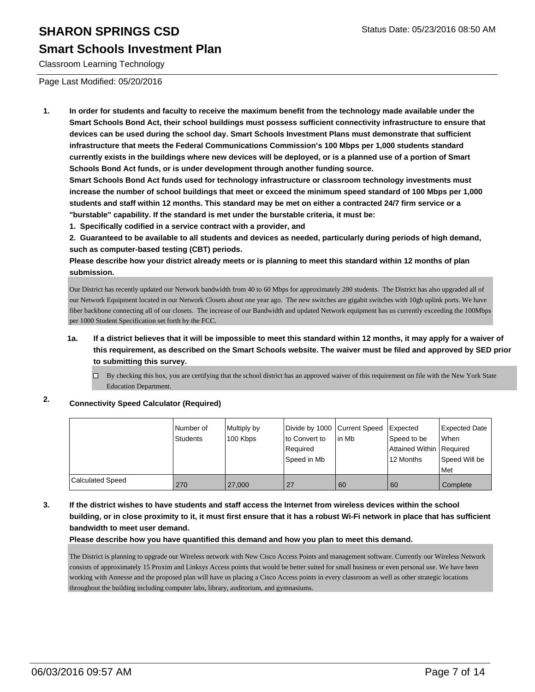#### **Smart Schools Investment Plan**

Classroom Learning Technology

Page Last Modified: 05/20/2016

**1. In order for students and faculty to receive the maximum benefit from the technology made available under the Smart Schools Bond Act, their school buildings must possess sufficient connectivity infrastructure to ensure that devices can be used during the school day. Smart Schools Investment Plans must demonstrate that sufficient infrastructure that meets the Federal Communications Commission's 100 Mbps per 1,000 students standard currently exists in the buildings where new devices will be deployed, or is a planned use of a portion of Smart Schools Bond Act funds, or is under development through another funding source.**

**Smart Schools Bond Act funds used for technology infrastructure or classroom technology investments must increase the number of school buildings that meet or exceed the minimum speed standard of 100 Mbps per 1,000 students and staff within 12 months. This standard may be met on either a contracted 24/7 firm service or a "burstable" capability. If the standard is met under the burstable criteria, it must be:**

**1. Specifically codified in a service contract with a provider, and**

**2. Guaranteed to be available to all students and devices as needed, particularly during periods of high demand, such as computer-based testing (CBT) periods.**

**Please describe how your district already meets or is planning to meet this standard within 12 months of plan submission.**

Our District has recently updated our Network bandwidth from 40 to 60 Mbps for approximately 280 students. The District has also upgraded all of our Network Equipment located in our Network Closets about one year ago. The new switches are gigabit switches with 10gb uplink ports. We have fiber backbone connecting all of our closets. The increase of our Bandwidth and updated Network equipment has us currently exceeding the 100Mbps per 1000 Student Specification set forth by the FCC.

#### **1a. If a district believes that it will be impossible to meet this standard within 12 months, it may apply for a waiver of this requirement, as described on the Smart Schools website. The waiver must be filed and approved by SED prior to submitting this survey.**

By checking this box, you are certifying that the school district has an approved waiver of this requirement on file with the New York State  $\Box$ Education Department.

**2. Connectivity Speed Calculator (Required)**

|                         | Number of<br>Students | Multiply by<br>100 Kbps | Divide by 1000 Current Speed<br>to Convert to<br>Required<br>Speed in Mb | l in Mb | Expected<br>Speed to be<br>Attained Within Required<br>12 Months | <b>Expected Date</b><br>l When<br>Speed Will be<br>Met |
|-------------------------|-----------------------|-------------------------|--------------------------------------------------------------------------|---------|------------------------------------------------------------------|--------------------------------------------------------|
| <b>Calculated Speed</b> | 270                   | 27,000                  |                                                                          | l 60    | 60                                                               | Complete                                               |

#### **3. If the district wishes to have students and staff access the Internet from wireless devices within the school building, or in close proximity to it, it must first ensure that it has a robust Wi-Fi network in place that has sufficient bandwidth to meet user demand.**

**Please describe how you have quantified this demand and how you plan to meet this demand.**

The District is planning to upgrade our Wireless network with New Cisco Access Points and management software. Currently our Wireless Network consists of approximately 15 Proxim and Linksys Access points that would be better suited for small business or even personal use. We have been working with Annesse and the proposed plan will have us placing a Cisco Access points in every classroom as well as other strategic locations throughout the building including computer labs, library, auditorium, and gymnasiums.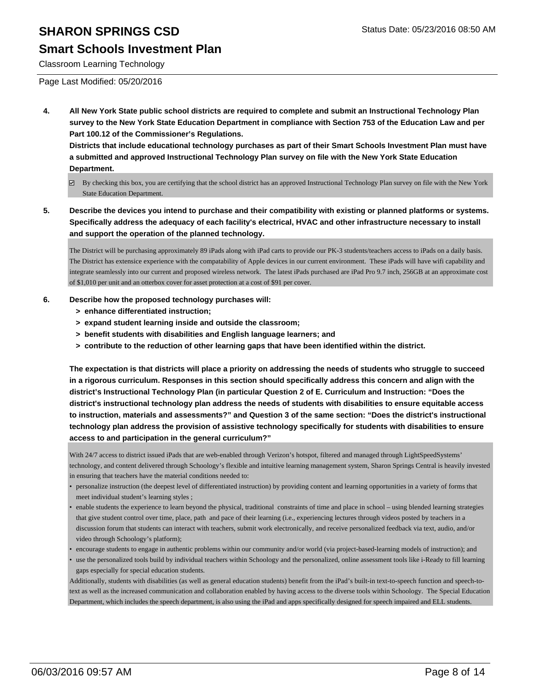#### **Smart Schools Investment Plan**

Classroom Learning Technology

Page Last Modified: 05/20/2016

**4. All New York State public school districts are required to complete and submit an Instructional Technology Plan survey to the New York State Education Department in compliance with Section 753 of the Education Law and per Part 100.12 of the Commissioner's Regulations.**

**Districts that include educational technology purchases as part of their Smart Schools Investment Plan must have a submitted and approved Instructional Technology Plan survey on file with the New York State Education Department.**

- By checking this box, you are certifying that the school district has an approved Instructional Technology Plan survey on file with the New York State Education Department.
- **5. Describe the devices you intend to purchase and their compatibility with existing or planned platforms or systems. Specifically address the adequacy of each facility's electrical, HVAC and other infrastructure necessary to install and support the operation of the planned technology.**

The District will be purchasing approximately 89 iPads along with iPad carts to provide our PK-3 students/teachers access to iPads on a daily basis. The District has extensice experience with the compatability of Apple devices in our current environment. These iPads will have wifi capability and integrate seamlessly into our current and proposed wireless network. The latest iPads purchased are iPad Pro 9.7 inch, 256GB at an approximate cost of \$1,010 per unit and an otterbox cover for asset protection at a cost of \$91 per cover.

#### **6. Describe how the proposed technology purchases will:**

- **> enhance differentiated instruction;**
- **> expand student learning inside and outside the classroom;**
- **> benefit students with disabilities and English language learners; and**
- **> contribute to the reduction of other learning gaps that have been identified within the district.**

**The expectation is that districts will place a priority on addressing the needs of students who struggle to succeed in a rigorous curriculum. Responses in this section should specifically address this concern and align with the district's Instructional Technology Plan (in particular Question 2 of E. Curriculum and Instruction: "Does the district's instructional technology plan address the needs of students with disabilities to ensure equitable access to instruction, materials and assessments?" and Question 3 of the same section: "Does the district's instructional technology plan address the provision of assistive technology specifically for students with disabilities to ensure access to and participation in the general curriculum?"**

With 24/7 access to district issued iPads that are web-enabled through Verizon's hotspot, filtered and managed through LightSpeedSystems' technology, and content delivered through Schoology's flexible and intuitive learning management system, Sharon Springs Central is heavily invested in ensuring that teachers have the material conditions needed to:

- personalize instruction (the deepest level of differentiated instruction) by providing content and learning opportunities in a variety of forms that meet individual student's learning styles ;
- enable students the experience to learn beyond the physical, traditional constraints of time and place in school using blended learning strategies that give student control over time, place, path and pace of their learning (i.e., experiencing lectures through videos posted by teachers in a discussion forum that students can interact with teachers, submit work electronically, and receive personalized feedback via text, audio, and/or video through Schoology's platform); •
- encourage students to engage in authentic problems within our community and/or world (via project-based-learning models of instruction); and
- use the personalized tools build by individual teachers within Schoology and the personalized, online assessment tools like i-Ready to fill learning gaps especially for special education students.

Additionally, students with disabilities (as well as general education students) benefit from the iPad's built-in text-to-speech function and speech-totext as well as the increased communication and collaboration enabled by having access to the diverse tools within Schoology. The Special Education Department, which includes the speech department, is also using the iPad and apps specifically designed for speech impaired and ELL students.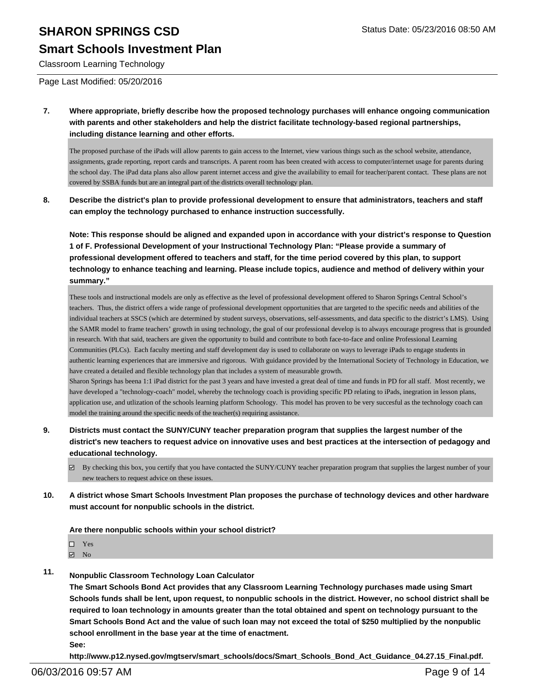### **Smart Schools Investment Plan**

Classroom Learning Technology

Page Last Modified: 05/20/2016

**7. Where appropriate, briefly describe how the proposed technology purchases will enhance ongoing communication with parents and other stakeholders and help the district facilitate technology-based regional partnerships, including distance learning and other efforts.**

The proposed purchase of the iPads will allow parents to gain access to the Internet, view various things such as the school website, attendance, assignments, grade reporting, report cards and transcripts. A parent room has been created with access to computer/internet usage for parents during the school day. The iPad data plans also allow parent internet access and give the availability to email for teacher/parent contact. These plans are not covered by SSBA funds but are an integral part of the districts overall technology plan.

**8. Describe the district's plan to provide professional development to ensure that administrators, teachers and staff can employ the technology purchased to enhance instruction successfully.**

**Note: This response should be aligned and expanded upon in accordance with your district's response to Question 1 of F. Professional Development of your Instructional Technology Plan: "Please provide a summary of professional development offered to teachers and staff, for the time period covered by this plan, to support technology to enhance teaching and learning. Please include topics, audience and method of delivery within your summary."**

These tools and instructional models are only as effective as the level of professional development offered to Sharon Springs Central School's teachers. Thus, the district offers a wide range of professional development opportunities that are targeted to the specific needs and abilities of the individual teachers at SSCS (which are determined by student surveys, observations, self-assessments, and data specific to the district's LMS). Using the SAMR model to frame teachers' growth in using technology, the goal of our professional develop is to always encourage progress that is grounded in research. With that said, teachers are given the opportunity to build and contribute to both face-to-face and online Professional Learning Communities (PLCs). Each faculty meeting and staff development day is used to collaborate on ways to leverage iPads to engage students in authentic learning experiences that are immersive and rigorous. With guidance provided by the International Society of Technology in Education, we have created a detailed and flexible technology plan that includes a system of measurable growth. Sharon Springs has beena 1:1 iPad district for the past 3 years and have invested a great deal of time and funds in PD for all staff. Most recently, we have developed a "technology-coach" model, whereby the technology coach is providing specific PD relating to iPads, inegration in lesson plans, application use, and utlization of the schools learning platform Schoology. This model has proven to be very succesful as the technology coach can model the training around the specific needs of the teacher(s) requiring assistance.

- **9. Districts must contact the SUNY/CUNY teacher preparation program that supplies the largest number of the district's new teachers to request advice on innovative uses and best practices at the intersection of pedagogy and educational technology.**
	- $\boxtimes$  By checking this box, you certify that you have contacted the SUNY/CUNY teacher preparation program that supplies the largest number of your new teachers to request advice on these issues.
- **10. A district whose Smart Schools Investment Plan proposes the purchase of technology devices and other hardware must account for nonpublic schools in the district.**

#### **Are there nonpublic schools within your school district?**

| ٠ |
|---|
|   |

 $\boxtimes$  No

**11. Nonpublic Classroom Technology Loan Calculator**

**The Smart Schools Bond Act provides that any Classroom Learning Technology purchases made using Smart Schools funds shall be lent, upon request, to nonpublic schools in the district. However, no school district shall be required to loan technology in amounts greater than the total obtained and spent on technology pursuant to the Smart Schools Bond Act and the value of such loan may not exceed the total of \$250 multiplied by the nonpublic school enrollment in the base year at the time of enactment. See:**

**http://www.p12.nysed.gov/mgtserv/smart\_schools/docs/Smart\_Schools\_Bond\_Act\_Guidance\_04.27.15\_Final.pdf.**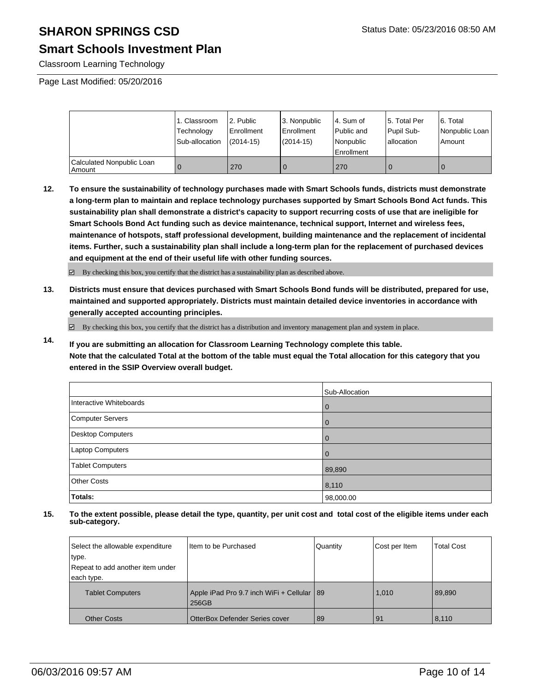### **Smart Schools Investment Plan**

Classroom Learning Technology

Page Last Modified: 05/20/2016

|                                     | 1. Classroom<br>Technology<br>Sub-allocation | 2. Public<br>Enrollment<br>$(2014 - 15)$ | 3. Nonpublic<br><b>Enrollment</b><br>$(2014 - 15)$ | l 4. Sum of<br>l Public and<br>Nonpublic<br><b>Enrollment</b> | 15. Total Per<br>Pupil Sub-<br>lallocation | 6. Total<br>Nonpublic Loan<br>Amount |
|-------------------------------------|----------------------------------------------|------------------------------------------|----------------------------------------------------|---------------------------------------------------------------|--------------------------------------------|--------------------------------------|
| Calculated Nonpublic Loan<br>Amount |                                              | 270                                      | -0                                                 | 270                                                           | O                                          | 0                                    |

**12. To ensure the sustainability of technology purchases made with Smart Schools funds, districts must demonstrate a long-term plan to maintain and replace technology purchases supported by Smart Schools Bond Act funds. This sustainability plan shall demonstrate a district's capacity to support recurring costs of use that are ineligible for Smart Schools Bond Act funding such as device maintenance, technical support, Internet and wireless fees, maintenance of hotspots, staff professional development, building maintenance and the replacement of incidental items. Further, such a sustainability plan shall include a long-term plan for the replacement of purchased devices and equipment at the end of their useful life with other funding sources.**

 $\boxdot$  By checking this box, you certify that the district has a sustainability plan as described above.

**13. Districts must ensure that devices purchased with Smart Schools Bond funds will be distributed, prepared for use, maintained and supported appropriately. Districts must maintain detailed device inventories in accordance with generally accepted accounting principles.**

By checking this box, you certify that the district has a distribution and inventory management plan and system in place.

**14. If you are submitting an allocation for Classroom Learning Technology complete this table. Note that the calculated Total at the bottom of the table must equal the Total allocation for this category that you entered in the SSIP Overview overall budget.**

|                         | Sub-Allocation |
|-------------------------|----------------|
| Interactive Whiteboards | l 0            |
| Computer Servers        | $\overline{0}$ |
| Desktop Computers       | $\overline{0}$ |
| Laptop Computers        | $\overline{0}$ |
| Tablet Computers        | 89,890         |
| Other Costs             | 8,110          |
| Totals:                 | 98,000.00      |

| Select the allowable expenditure | Item to be Purchased                                  | Quantity | Cost per Item | <b>Total Cost</b> |
|----------------------------------|-------------------------------------------------------|----------|---------------|-------------------|
| type.                            |                                                       |          |               |                   |
| Repeat to add another item under |                                                       |          |               |                   |
| each type.                       |                                                       |          |               |                   |
| <b>Tablet Computers</b>          | Apple iPad Pro 9.7 inch WiFi + Cellular   89<br>256GB |          | 1.010         | 89,890            |
| <b>Other Costs</b>               | OtterBox Defender Series cover                        | 89       | 91            | 8,110             |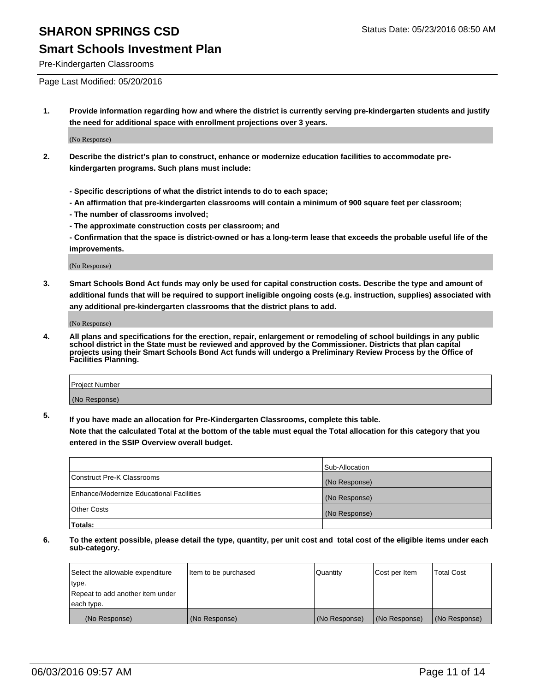### **Smart Schools Investment Plan**

Pre-Kindergarten Classrooms

Page Last Modified: 05/20/2016

**1. Provide information regarding how and where the district is currently serving pre-kindergarten students and justify the need for additional space with enrollment projections over 3 years.**

(No Response)

- **2. Describe the district's plan to construct, enhance or modernize education facilities to accommodate prekindergarten programs. Such plans must include:**
	- **Specific descriptions of what the district intends to do to each space;**
	- **An affirmation that pre-kindergarten classrooms will contain a minimum of 900 square feet per classroom;**
	- **The number of classrooms involved;**
	- **The approximate construction costs per classroom; and**
	- **Confirmation that the space is district-owned or has a long-term lease that exceeds the probable useful life of the improvements.**

(No Response)

**3. Smart Schools Bond Act funds may only be used for capital construction costs. Describe the type and amount of additional funds that will be required to support ineligible ongoing costs (e.g. instruction, supplies) associated with any additional pre-kindergarten classrooms that the district plans to add.**

(No Response)

**4. All plans and specifications for the erection, repair, enlargement or remodeling of school buildings in any public school district in the State must be reviewed and approved by the Commissioner. Districts that plan capital projects using their Smart Schools Bond Act funds will undergo a Preliminary Review Process by the Office of Facilities Planning.**

| Project Number |  |
|----------------|--|
| (No Response)  |  |

**5. If you have made an allocation for Pre-Kindergarten Classrooms, complete this table.**

**Note that the calculated Total at the bottom of the table must equal the Total allocation for this category that you entered in the SSIP Overview overall budget.**

|                                          | Sub-Allocation |
|------------------------------------------|----------------|
| Construct Pre-K Classrooms               | (No Response)  |
| Enhance/Modernize Educational Facilities | (No Response)  |
| Other Costs                              | (No Response)  |
| Totals:                                  |                |

| Select the allowable expenditure | Item to be purchased | Quantity      | Cost per Item | <b>Total Cost</b> |
|----------------------------------|----------------------|---------------|---------------|-------------------|
| type.                            |                      |               |               |                   |
| Repeat to add another item under |                      |               |               |                   |
| each type.                       |                      |               |               |                   |
| (No Response)                    | (No Response)        | (No Response) | (No Response) | (No Response)     |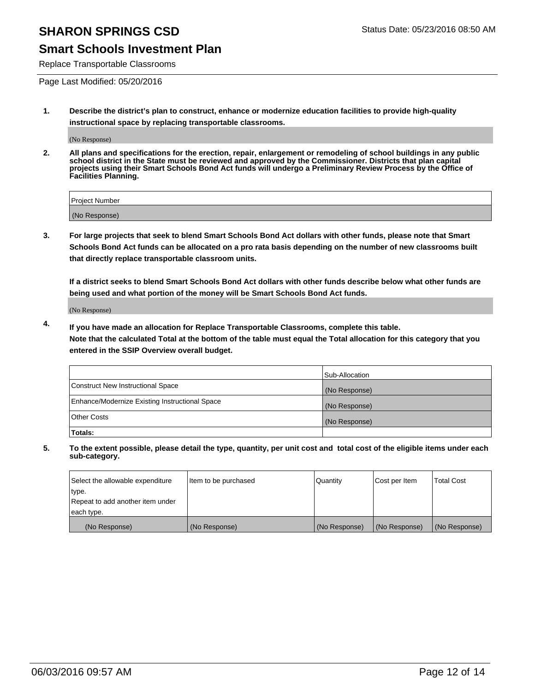### **Smart Schools Investment Plan**

Replace Transportable Classrooms

Page Last Modified: 05/20/2016

**1. Describe the district's plan to construct, enhance or modernize education facilities to provide high-quality instructional space by replacing transportable classrooms.**

(No Response)

**2. All plans and specifications for the erection, repair, enlargement or remodeling of school buildings in any public school district in the State must be reviewed and approved by the Commissioner. Districts that plan capital projects using their Smart Schools Bond Act funds will undergo a Preliminary Review Process by the Office of Facilities Planning.**

| <b>Project Number</b> |  |
|-----------------------|--|
| (No Response)         |  |

**3. For large projects that seek to blend Smart Schools Bond Act dollars with other funds, please note that Smart Schools Bond Act funds can be allocated on a pro rata basis depending on the number of new classrooms built that directly replace transportable classroom units.**

**If a district seeks to blend Smart Schools Bond Act dollars with other funds describe below what other funds are being used and what portion of the money will be Smart Schools Bond Act funds.**

(No Response)

**4. If you have made an allocation for Replace Transportable Classrooms, complete this table. Note that the calculated Total at the bottom of the table must equal the Total allocation for this category that you entered in the SSIP Overview overall budget.**

|                                                | Sub-Allocation |
|------------------------------------------------|----------------|
| Construct New Instructional Space              | (No Response)  |
| Enhance/Modernize Existing Instructional Space | (No Response)  |
| <b>Other Costs</b>                             | (No Response)  |
| Totals:                                        |                |

| Select the allowable expenditure | Item to be purchased | <b>Quantity</b> | Cost per Item | <b>Total Cost</b> |
|----------------------------------|----------------------|-----------------|---------------|-------------------|
| type.                            |                      |                 |               |                   |
| Repeat to add another item under |                      |                 |               |                   |
| each type.                       |                      |                 |               |                   |
| (No Response)                    | (No Response)        | (No Response)   | (No Response) | (No Response)     |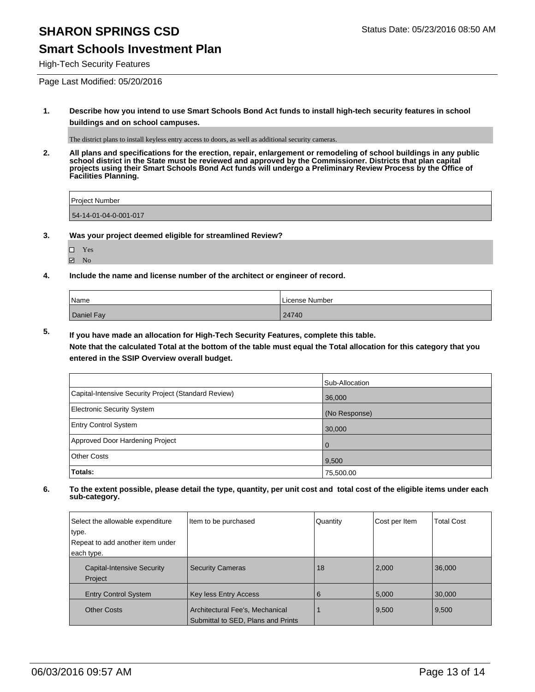### **Smart Schools Investment Plan**

#### High-Tech Security Features

Page Last Modified: 05/20/2016

**1. Describe how you intend to use Smart Schools Bond Act funds to install high-tech security features in school buildings and on school campuses.**

The district plans to install keyless entry access to doors, as well as additional security cameras.

**2. All plans and specifications for the erection, repair, enlargement or remodeling of school buildings in any public school district in the State must be reviewed and approved by the Commissioner. Districts that plan capital projects using their Smart Schools Bond Act funds will undergo a Preliminary Review Process by the Office of Facilities Planning.** 

| Proiect Number        |  |
|-----------------------|--|
| 54-14-01-04-0-001-017 |  |

**3. Was your project deemed eligible for streamlined Review?**

| ш | Yes |  |
|---|-----|--|
| U | No  |  |

**4. Include the name and license number of the architect or engineer of record.**

| Name       | License Number |
|------------|----------------|
| Daniel Fay | 24740          |

**5. If you have made an allocation for High-Tech Security Features, complete this table.**

**Note that the calculated Total at the bottom of the table must equal the Total allocation for this category that you entered in the SSIP Overview overall budget.**

|                                                      | Sub-Allocation |
|------------------------------------------------------|----------------|
| Capital-Intensive Security Project (Standard Review) | 36,000         |
| Electronic Security System                           | (No Response)  |
| <b>Entry Control System</b>                          | 30,000         |
| Approved Door Hardening Project                      | $\Omega$       |
| Other Costs                                          | 9,500          |
| Totals:                                              | 75,500.00      |

| Select the allowable expenditure<br>type.<br>Repeat to add another item under<br>each type. | Item to be purchased                                                  | Quantity | Cost per Item | <b>Total Cost</b> |
|---------------------------------------------------------------------------------------------|-----------------------------------------------------------------------|----------|---------------|-------------------|
| <b>Capital-Intensive Security</b><br>Project                                                | <b>Security Cameras</b>                                               | 18       | 2,000         | 36,000            |
| <b>Entry Control System</b>                                                                 | Key less Entry Access                                                 | 6        | 5,000         | 30,000            |
| <b>Other Costs</b>                                                                          | Architectural Fee's, Mechanical<br>Submittal to SED, Plans and Prints |          | 9,500         | 9,500             |